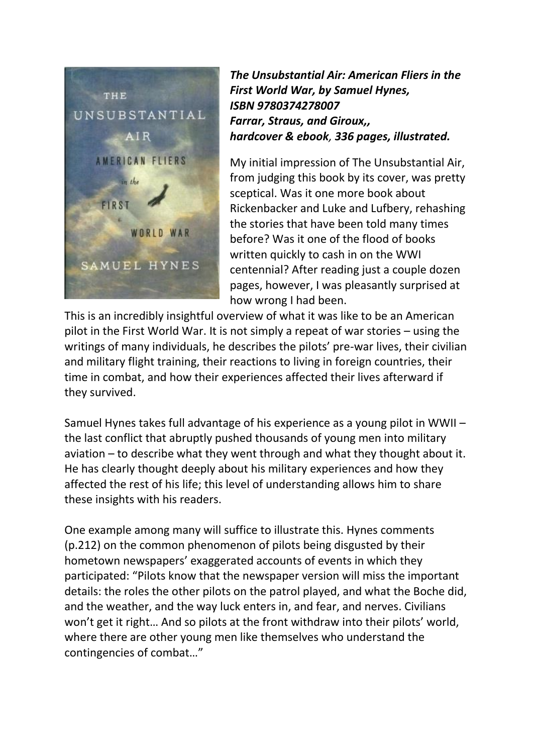

*The Unsubstantial Air: American Fliers in the First World War, by Samuel Hynes, ISBN 9780374278007 Farrar, Straus, and Giroux,, hardcover & ebook, 336 pages, illustrated.* 

My initial impression of The Unsubstantial Air, from judging this book by its cover, was pretty sceptical. Was it one more book about Rickenbacker and Luke and Lufbery, rehashing the stories that have been told many times before? Was it one of the flood of books written quickly to cash in on the WWI centennial? After reading just a couple dozen pages, however, I was pleasantly surprised at how wrong I had been.

This is an incredibly insightful overview of what it was like to be an American pilot in the First World War. It is not simply a repeat of war stories – using the writings of many individuals, he describes the pilots' pre-war lives, their civilian and military flight training, their reactions to living in foreign countries, their time in combat, and how their experiences affected their lives afterward if they survived.

Samuel Hynes takes full advantage of his experience as a young pilot in WWII – the last conflict that abruptly pushed thousands of young men into military aviation – to describe what they went through and what they thought about it. He has clearly thought deeply about his military experiences and how they affected the rest of his life; this level of understanding allows him to share these insights with his readers.

One example among many will suffice to illustrate this. Hynes comments (p.212) on the common phenomenon of pilots being disgusted by their hometown newspapers' exaggerated accounts of events in which they participated: "Pilots know that the newspaper version will miss the important details: the roles the other pilots on the patrol played, and what the Boche did, and the weather, and the way luck enters in, and fear, and nerves. Civilians won't get it right… And so pilots at the front withdraw into their pilots' world, where there are other young men like themselves who understand the contingencies of combat…"